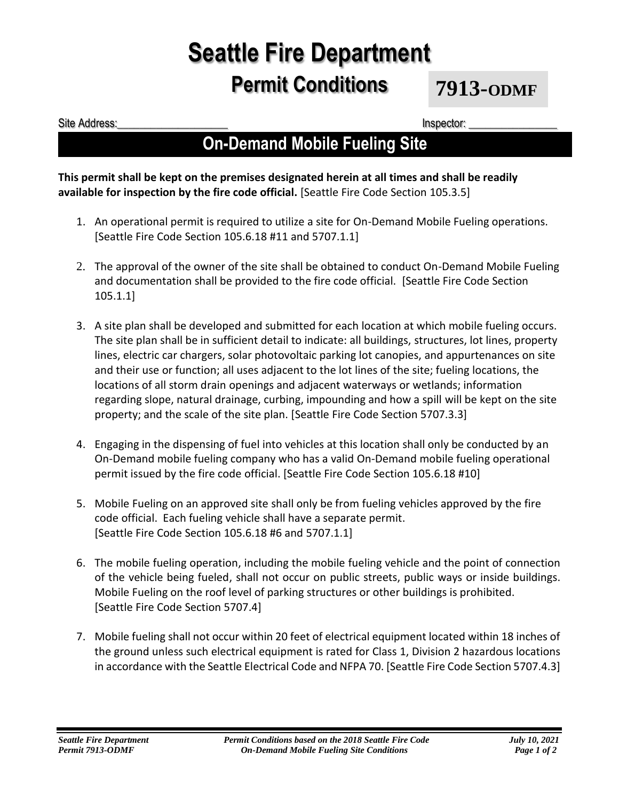# **Seattle Fire Department Permit Conditions**

**7913-ODMF**

Site Address:\_\_\_\_\_\_\_\_\_\_\_\_\_\_\_\_\_\_\_\_ Inspector: \_\_\_\_\_\_\_\_\_\_\_\_\_\_\_\_

### **On-Demand Mobile Fueling Site**

#### **This permit shall be kept on the premises designated herein at all times and shall be readily available for inspection by the fire code official.** [Seattle Fire Code Section 105.3.5]

- 1. An operational permit is required to utilize a site for On-Demand Mobile Fueling operations. [Seattle Fire Code Section 105.6.18 #11 and 5707.1.1]
- 2. The approval of the owner of the site shall be obtained to conduct On-Demand Mobile Fueling and documentation shall be provided to the fire code official. [Seattle Fire Code Section 105.1.1]
- 3. A site plan shall be developed and submitted for each location at which mobile fueling occurs. The site plan shall be in sufficient detail to indicate: all buildings, structures, lot lines, property lines, electric car chargers, solar photovoltaic parking lot canopies, and appurtenances on site and their use or function; all uses adjacent to the lot lines of the site; fueling locations, the locations of all storm drain openings and adjacent waterways or wetlands; information regarding slope, natural drainage, curbing, impounding and how a spill will be kept on the site property; and the scale of the site plan. [Seattle Fire Code Section 5707.3.3]
- 4. Engaging in the dispensing of fuel into vehicles at this location shall only be conducted by an On-Demand mobile fueling company who has a valid On-Demand mobile fueling operational permit issued by the fire code official. [Seattle Fire Code Section 105.6.18 #10]
- 5. Mobile Fueling on an approved site shall only be from fueling vehicles approved by the fire code official. Each fueling vehicle shall have a separate permit. [Seattle Fire Code Section 105.6.18 #6 and 5707.1.1]
- 6. The mobile fueling operation, including the mobile fueling vehicle and the point of connection of the vehicle being fueled, shall not occur on public streets, public ways or inside buildings. Mobile Fueling on the roof level of parking structures or other buildings is prohibited. [Seattle Fire Code Section 5707.4]
- 7. Mobile fueling shall not occur within 20 feet of electrical equipment located within 18 inches of the ground unless such electrical equipment is rated for Class 1, Division 2 hazardous locations in accordance with the Seattle Electrical Code and NFPA 70. [Seattle Fire Code Section 5707.4.3]